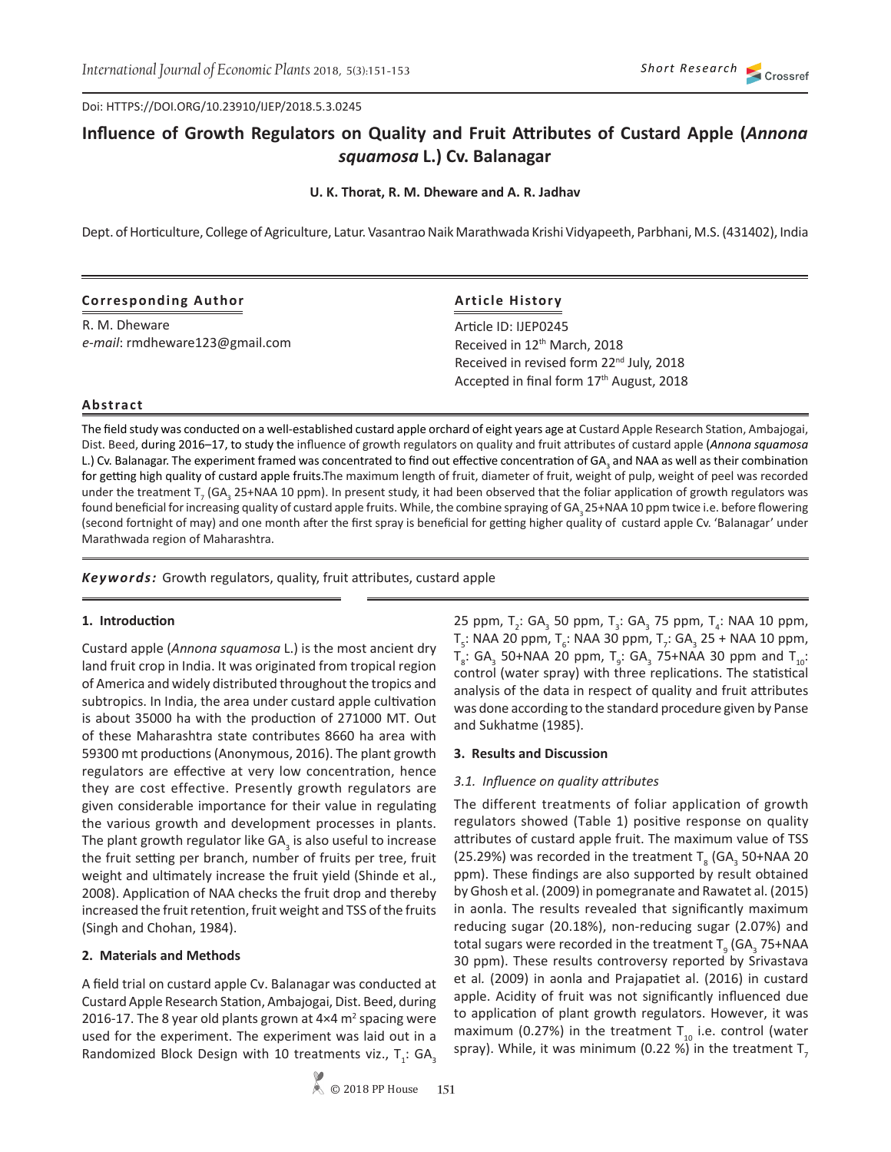Doi: HTTPS://DOI.ORG/10.23910/IJEP/2018.5.3.0245

# **Influence of Growth Regulators on Quality and Fruit Attributes of Custard Apple (***Annona squamosa* **L.) Cv. Balanagar**

**U. K. Thorat, R. M. Dheware and A. R. Jadhav**

Dept. of Horticulture, College of Agriculture, Latur. Vasantrao Naik Marathwada Krishi Vidyapeeth, Parbhani, M.S. (431402), India

| <b>Corresponding Author</b>    | <b>Article History</b>                               |  |  |  |
|--------------------------------|------------------------------------------------------|--|--|--|
| R. M. Dheware                  | Article ID: IJEP0245                                 |  |  |  |
| e-mail: rmdheware123@gmail.com | Received in 12 <sup>th</sup> March, 2018             |  |  |  |
|                                | Received in revised form 22 <sup>nd</sup> July, 2018 |  |  |  |
|                                | Accepted in final form 17 <sup>th</sup> August, 2018 |  |  |  |

#### **Abstract**

The field study was conducted on a well-established custard apple orchard of eight years age at Custard Apple Research Station, Ambajogai, Dist. Beed, during 2016–17, to study the influence of growth regulators on quality and fruit attributes of custard apple (*Annona squamosa* L.) Cv. Balanagar. The experiment framed was concentrated to find out effective concentration of GA<sub>3</sub> and NAA as well as their combination for getting high quality of custard apple fruits.The maximum length of fruit, diameter of fruit, weight of pulp, weight of peel was recorded under the treatment T<sub>7</sub> (GA<sub>3</sub> 25+NAA 10 ppm). In present study, it had been observed that the foliar application of growth regulators was found beneficial for increasing quality of custard apple fruits. While, the combine spraying of GA<sub>3</sub> 25+NAA 10 ppm twice i.e. before flowering (second fortnight of may) and one month after the first spray is beneficial for getting higher quality of custard apple Cv. 'Balanagar' under Marathwada region of Maharashtra.

*Keywords:* Growth regulators, quality, fruit attributes, custard apple

#### **1. Introduction**

Custard apple (*Annona squamosa* L.) is the most ancient dry land fruit crop in India. It was originated from tropical region of America and widely distributed throughout the tropics and subtropics. In India, the area under custard apple cultivation is about 35000 ha with the production of 271000 MT. Out of these Maharashtra state contributes 8660 ha area with 59300 mt productions (Anonymous, 2016). The plant growth regulators are effective at very low concentration, hence they are cost effective. Presently growth regulators are given considerable importance for their value in regulating the various growth and development processes in plants. The plant growth regulator like GA<sub>3</sub> is also useful to increase the fruit setting per branch, number of fruits per tree, fruit weight and ultimately increase the fruit yield (Shinde et al., 2008). Application of NAA checks the fruit drop and thereby increased the fruit retention, fruit weight and TSS of the fruits (Singh and Chohan, 1984).

# **2. Materials and Methods**

A field trial on custard apple Cv. Balanagar was conducted at Custard Apple Research Station, Ambajogai, Dist. Beed, during 2016-17. The 8 year old plants grown at  $4\times4$  m<sup>2</sup> spacing were used for the experiment. The experiment was laid out in a Randomized Block Design with 10 treatments viz.,  $T_i$ : GA<sub>3</sub>

25 ppm, T<sub>2</sub>: GA<sub>3</sub> 50 ppm, T<sub>3</sub>: GA<sub>3</sub> 75 ppm, T<sub>4</sub>: NAA 10 ppm,  $T_{5}$ : NAA 20 ppm,  $T_{6}$ : NAA 30 ppm,  $T_{7}$ : GA<sub>3</sub> 25 + NAA 10 ppm,  $T_{8}$ : GA<sub>3</sub> 50+NAA 20 ppm,  $T_{9}$ : GA<sub>3</sub> 75+NAA 30 ppm and  $T_{10}$ : control (water spray) with three replications. The statistical analysis of the data in respect of quality and fruit attributes was done according to the standard procedure given by Panse and Sukhatme (1985).

#### **3. Results and Discussion**

#### *3.1. Influence on quality attributes*

The different treatments of foliar application of growth regulators showed (Table 1) positive response on quality attributes of custard apple fruit. The maximum value of TSS (25.29%) was recorded in the treatment  $T_g$  (GA<sub>3</sub> 50+NAA 20 ppm). These findings are also supported by result obtained by Ghosh et al. (2009) in pomegranate and Rawatet al. (2015) in aonla. The results revealed that significantly maximum reducing sugar (20.18%), non-reducing sugar (2.07%) and total sugars were recorded in the treatment  $T_g$  (GA<sub>3</sub> 75+NAA 30 ppm). These results controversy reported by Srivastava et al*.* (2009) in aonla and Prajapatiet al. (2016) in custard apple. Acidity of fruit was not significantly influenced due to application of plant growth regulators. However, it was maximum (0.27%) in the treatment  $T_{10}$  i.e. control (water spray). While, it was minimum (0.22 %) in the treatment  $T<sub>7</sub>$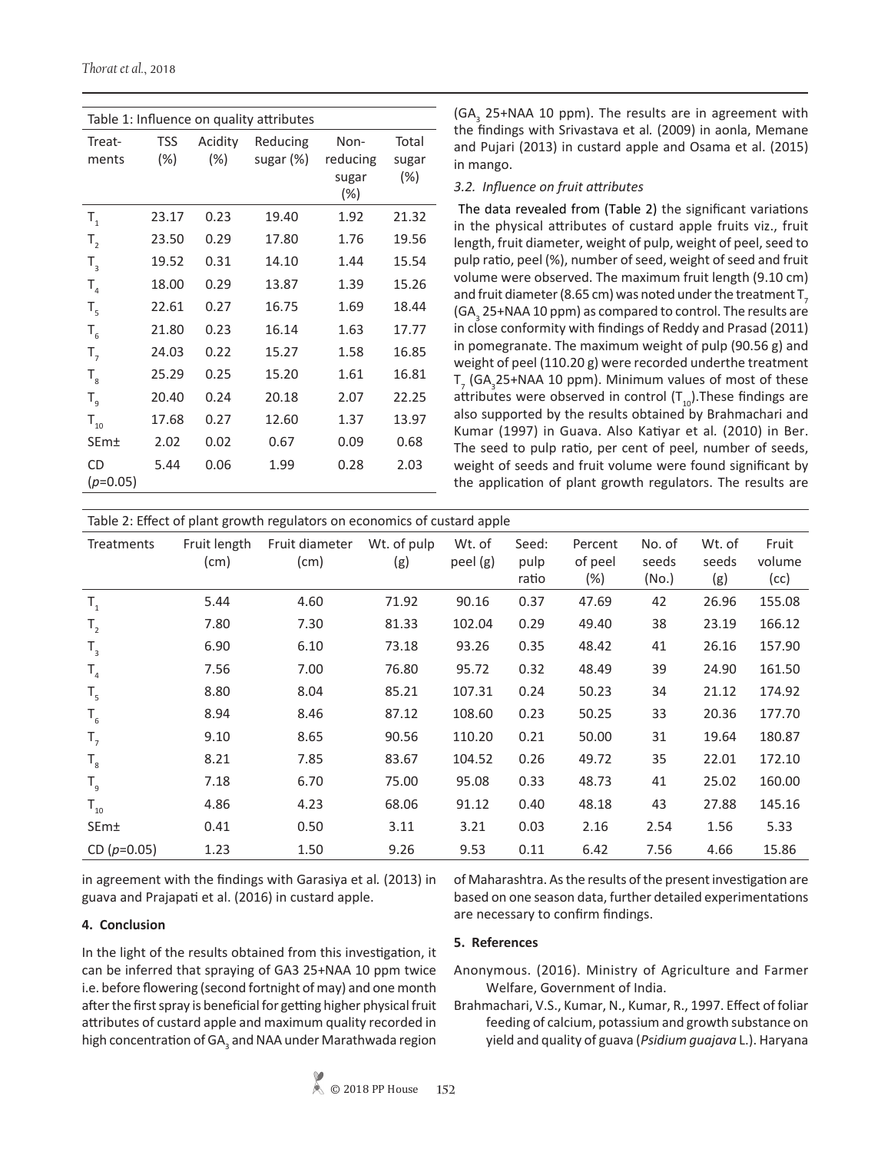*Thorat et al.*, 2018

| Table 1: Influence on quality attributes |       |         |           |          |        |  |  |  |
|------------------------------------------|-------|---------|-----------|----------|--------|--|--|--|
| Treat-                                   | TSS   | Acidity | Reducing  | Non-     | Total  |  |  |  |
| ments                                    | (%)   | $(\%)$  | sugar (%) | reducing | sugar  |  |  |  |
|                                          |       |         |           | sugar    | $(\%)$ |  |  |  |
|                                          |       |         |           | (%)      |        |  |  |  |
| $\mathsf{T}_{\scriptscriptstyle{1}}$     | 23.17 | 0.23    | 19.40     | 1.92     | 21.32  |  |  |  |
| $T_{2}$                                  | 23.50 | 0.29    | 17.80     | 1.76     | 19.56  |  |  |  |
| $T_{3}$                                  | 19.52 | 0.31    | 14.10     | 1.44     | 15.54  |  |  |  |
| $T_{4}$                                  | 18.00 | 0.29    | 13.87     | 1.39     | 15.26  |  |  |  |
| $T_{\rm 5}$                              | 22.61 | 0.27    | 16.75     | 1.69     | 18.44  |  |  |  |
| $T_{6}$                                  | 21.80 | 0.23    | 16.14     | 1.63     | 17.77  |  |  |  |
| $T_{7}$                                  | 24.03 | 0.22    | 15.27     | 1.58     | 16.85  |  |  |  |
| $T_{\rm g}$                              | 25.29 | 0.25    | 15.20     | 1.61     | 16.81  |  |  |  |
| $T_{q}$                                  | 20.40 | 0.24    | 20.18     | 2.07     | 22.25  |  |  |  |
| $\mathsf{T}_{_{10}}$                     | 17.68 | 0.27    | 12.60     | 1.37     | 13.97  |  |  |  |
| <b>SEm</b> <sup>+</sup>                  | 2.02  | 0.02    | 0.67      | 0.09     | 0.68   |  |  |  |
| <b>CD</b>                                | 5.44  | 0.06    | 1.99      | 0.28     | 2.03   |  |  |  |
| $(p=0.05)$                               |       |         |           |          |        |  |  |  |

(GA<sub>3</sub> 25+NAA 10 ppm). The results are in agreement with the findings with Srivastava et al*.* (2009) in aonla, Memane and Pujari (2013) in custard apple and Osama et al. (2015) in mango.

# *3.2. Influence on fruit attributes*

The data revealed from (Table 2) the significant variations in the physical attributes of custard apple fruits viz., fruit length, fruit diameter, weight of pulp, weight of peel, seed to pulp ratio, peel (%), number of seed, weight of seed and fruit volume were observed. The maximum fruit length (9.10 cm) and fruit diameter (8.65 cm) was noted under the treatment  $T<sub>z</sub>$ (GA<sub>3</sub> 25+NAA 10 ppm) as compared to control. The results are in close conformity with findings of Reddy and Prasad (2011) in pomegranate. The maximum weight of pulp (90.56 g) and weight of peel (110.20 g) were recorded underthe treatment  $T<sub>7</sub>$  (GA<sub>3</sub>25+NAA 10 ppm). Minimum values of most of these attributes were observed in control  $(T_{10})$ . These findings are also supported by the results obtained by Brahmachari and Kumar (1997) in Guava. Also Katiyar et al*.* (2010) in Ber. The seed to pulp ratio, per cent of peel, number of seeds, weight of seeds and fruit volume were found significant by the application of plant growth regulators. The results are

Table 2: Effect of plant growth regulators on economics of custard apple

| Wt. of pulp<br>Fruit length<br>Fruit diameter<br>Wt. of<br>Seed:<br>Wt. of<br>Fruit<br>Percent<br>No. of<br>Treatments<br>peel (g)<br>of peel<br>volume<br>(cm)<br>(cm)<br>(g)<br>pulp<br>seeds<br>seeds<br>$(\%)$<br>(No.)<br>(g)<br>(cc)<br>ratio<br>4.60<br>0.37<br>47.69<br>42<br>26.96<br>155.08<br>$T_{1}$<br>5.44<br>71.92<br>90.16<br>$T_{2}$<br>0.29<br>49.40<br>38<br>166.12<br>7.80<br>7.30<br>81.33<br>102.04<br>23.19<br>0.35<br>157.90<br>6.90<br>6.10<br>73.18<br>93.26<br>48.42<br>41<br>26.16<br>$T_{3}$<br>$T_{4}$<br>0.32<br>48.49<br>39<br>161.50<br>7.56<br>7.00<br>76.80<br>95.72<br>24.90<br>8.04<br>107.31<br>0.24<br>50.23<br>34<br>174.92<br>8.80<br>85.21<br>21.12<br>$T_{5}$<br>33<br>0.23<br>177.70<br>$T_{6}$<br>8.94<br>8.46<br>87.12<br>108.60<br>50.25<br>20.36<br>31<br>180.87<br>8.65<br>110.20<br>0.21<br>50.00<br>19.64<br>$T_{7}$<br>9.10<br>90.56<br>35<br>$T_{\rm g}$<br>7.85<br>83.67<br>104.52<br>0.26<br>22.01<br>172.10<br>8.21<br>49.72<br>160.00<br>6.70<br>95.08<br>0.33<br>7.18<br>75.00<br>48.73<br>41<br>25.02<br>$T_{9}$<br>$T_{10}$<br>68.06<br>91.12<br>0.40<br>48.18<br>43<br>27.88<br>145.16<br>4.86<br>4.23<br>0.50<br>3.21<br>5.33<br>SEm±<br>3.11<br>0.03<br>2.16<br>2.54<br>1.56<br>0.41<br>CD $(p=0.05)$<br>15.86<br>1.23<br>9.26<br>9.53<br>0.11<br>7.56<br>1.50<br>6.42<br>4.66 | Table 2. Effect of plant growth regulators on economics or custary apple. |  |  |  |  |  |  |  |  |  |
|-----------------------------------------------------------------------------------------------------------------------------------------------------------------------------------------------------------------------------------------------------------------------------------------------------------------------------------------------------------------------------------------------------------------------------------------------------------------------------------------------------------------------------------------------------------------------------------------------------------------------------------------------------------------------------------------------------------------------------------------------------------------------------------------------------------------------------------------------------------------------------------------------------------------------------------------------------------------------------------------------------------------------------------------------------------------------------------------------------------------------------------------------------------------------------------------------------------------------------------------------------------------------------------------------------------------------------------------------|---------------------------------------------------------------------------|--|--|--|--|--|--|--|--|--|
|                                                                                                                                                                                                                                                                                                                                                                                                                                                                                                                                                                                                                                                                                                                                                                                                                                                                                                                                                                                                                                                                                                                                                                                                                                                                                                                                               |                                                                           |  |  |  |  |  |  |  |  |  |
|                                                                                                                                                                                                                                                                                                                                                                                                                                                                                                                                                                                                                                                                                                                                                                                                                                                                                                                                                                                                                                                                                                                                                                                                                                                                                                                                               |                                                                           |  |  |  |  |  |  |  |  |  |
|                                                                                                                                                                                                                                                                                                                                                                                                                                                                                                                                                                                                                                                                                                                                                                                                                                                                                                                                                                                                                                                                                                                                                                                                                                                                                                                                               |                                                                           |  |  |  |  |  |  |  |  |  |
|                                                                                                                                                                                                                                                                                                                                                                                                                                                                                                                                                                                                                                                                                                                                                                                                                                                                                                                                                                                                                                                                                                                                                                                                                                                                                                                                               |                                                                           |  |  |  |  |  |  |  |  |  |
|                                                                                                                                                                                                                                                                                                                                                                                                                                                                                                                                                                                                                                                                                                                                                                                                                                                                                                                                                                                                                                                                                                                                                                                                                                                                                                                                               |                                                                           |  |  |  |  |  |  |  |  |  |
|                                                                                                                                                                                                                                                                                                                                                                                                                                                                                                                                                                                                                                                                                                                                                                                                                                                                                                                                                                                                                                                                                                                                                                                                                                                                                                                                               |                                                                           |  |  |  |  |  |  |  |  |  |
|                                                                                                                                                                                                                                                                                                                                                                                                                                                                                                                                                                                                                                                                                                                                                                                                                                                                                                                                                                                                                                                                                                                                                                                                                                                                                                                                               |                                                                           |  |  |  |  |  |  |  |  |  |
|                                                                                                                                                                                                                                                                                                                                                                                                                                                                                                                                                                                                                                                                                                                                                                                                                                                                                                                                                                                                                                                                                                                                                                                                                                                                                                                                               |                                                                           |  |  |  |  |  |  |  |  |  |
|                                                                                                                                                                                                                                                                                                                                                                                                                                                                                                                                                                                                                                                                                                                                                                                                                                                                                                                                                                                                                                                                                                                                                                                                                                                                                                                                               |                                                                           |  |  |  |  |  |  |  |  |  |
|                                                                                                                                                                                                                                                                                                                                                                                                                                                                                                                                                                                                                                                                                                                                                                                                                                                                                                                                                                                                                                                                                                                                                                                                                                                                                                                                               |                                                                           |  |  |  |  |  |  |  |  |  |
|                                                                                                                                                                                                                                                                                                                                                                                                                                                                                                                                                                                                                                                                                                                                                                                                                                                                                                                                                                                                                                                                                                                                                                                                                                                                                                                                               |                                                                           |  |  |  |  |  |  |  |  |  |
|                                                                                                                                                                                                                                                                                                                                                                                                                                                                                                                                                                                                                                                                                                                                                                                                                                                                                                                                                                                                                                                                                                                                                                                                                                                                                                                                               |                                                                           |  |  |  |  |  |  |  |  |  |
|                                                                                                                                                                                                                                                                                                                                                                                                                                                                                                                                                                                                                                                                                                                                                                                                                                                                                                                                                                                                                                                                                                                                                                                                                                                                                                                                               |                                                                           |  |  |  |  |  |  |  |  |  |
|                                                                                                                                                                                                                                                                                                                                                                                                                                                                                                                                                                                                                                                                                                                                                                                                                                                                                                                                                                                                                                                                                                                                                                                                                                                                                                                                               |                                                                           |  |  |  |  |  |  |  |  |  |

in agreement with the findings with Garasiya et al*.* (2013) in guava and Prajapati et al. (2016) in custard apple.

# **4. Conclusion**

In the light of the results obtained from this investigation, it can be inferred that spraying of GA3 25+NAA 10 ppm twice i.e. before flowering (second fortnight of may) and one month after the first spray is beneficial for getting higher physical fruit attributes of custard apple and maximum quality recorded in high concentration of GA $_{_3}$  and NAA under Marathwada region of Maharashtra. As the results of the present investigation are based on one season data, further detailed experimentations are necessary to confirm findings.

# **5. References**

- Anonymous. (2016). Ministry of Agriculture and Farmer Welfare, Government of India.
- Brahmachari, V.S., Kumar, N., Kumar, R., 1997. Effect of foliar feeding of calcium, potassium and growth substance on yield and quality of guava (*Psidium guajava* L.). Haryana